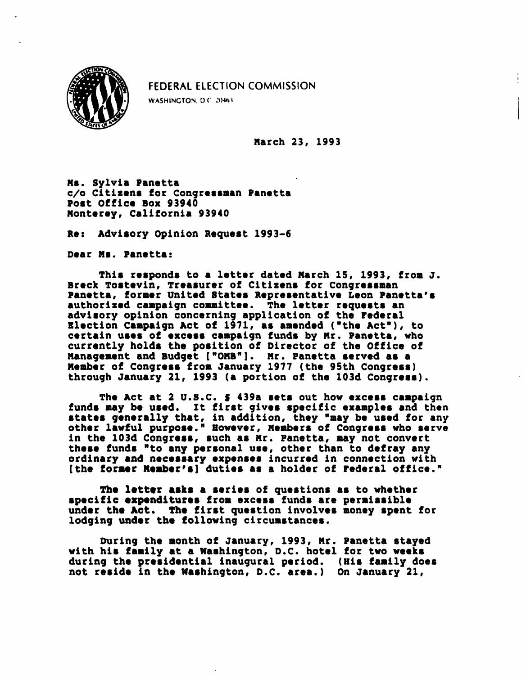

FEDERAL ELECTION COMMISSION

WASHINGTON, D.C. 20463.

March 23, 1993

Ms. Sylvia Panetta c/o Citizens for Congressman Panetta Post Office Box 93940 Monterey, California 93940

Re: Advisory Opinion Request 1993-6

Dear Ms. Panetta:

This responds to a letter dated March 15, 1993, from J. Breck Tostevin, Treasurer of Citizens for Congressman Panetta, former United States Representative Leon Panetta's authorized campaign committee. The letter requests an advisory opinion concerning application of the Federal Election Campaign Act of 1971, as amended ("the Act"), to certain uses of excess campaign funds by Mr. Panetta, who currently holds the position of Director of the Office of Management and Budget ["OMB"]. Mr. Panetta served as a Member of Congress from January 1977 (the 95th Congress) through January 21, 1993 (a portion of the 103d Congress).

The Act at 2 U.S.C. 5 439a sets out how excess campaign funds may be used. It first gives specific examples and then states generally that, in addition, they "may be used for any other lawful purpose." However, Members of Congress who serve in the 103d Congress, such as Mr. Panetta, may not convert these funds "to any personal use, other than to defray any ordinary and necessary expenses incurred in connection with [the former Member's] duties as a holder of Federal office."

The letter asks a series of questions as to whether specific expenditures from excess funds are permissible under the Act. The first question involves money spent for lodging under the following circumstances.

During the month of January, 1993, Mr. Panetta stayed with his family at a Washington, D.C. hotel for two weeks during the presidential inaugural period. (His family does not reside in the Washington, D.C. area.) On January 21,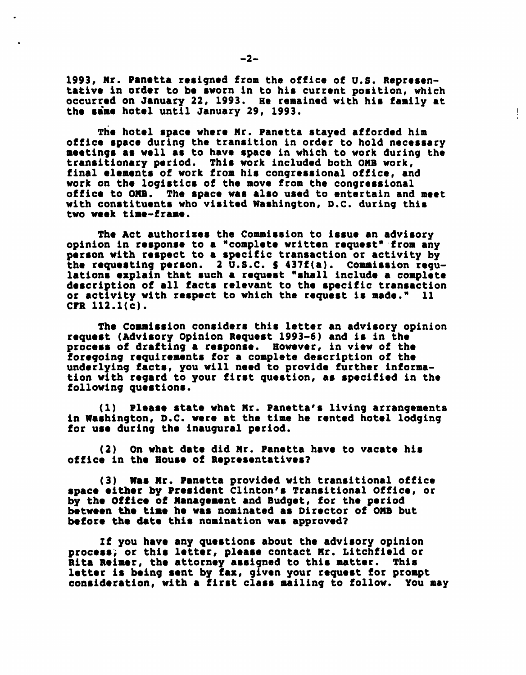1993, Mr. Panttta resigned from the office of U.S. Representative in order to be sworn in to his current position, which occurred on January 22, 1993. He remained with his family at the same hotel until January 29, 1993.

Ţ

The hotel space where Mr. Panetta stayed afforded him office space during the transition in order to hold necessary meetings as well as to have space in which to work during the transitionary period. This work included both OMB work, final elements of work from his congressional office, and work on the logistics of the move from the congressional office to OMB. The space was also used to entertain and meet with constituents who visited Washington, D.C. during this two week time-frame.

The Act authorizes the Commission to issue an advisory opinion in response to a "complete written request" from any person with respect to a specific transaction or activity by the requesting person. 2 U.S.C. S 437f(a). Commission regulations explain that such a request "shall include a complete description of all facts relevant to the specific transaction or activity with respect to which the request is made." 11 CFR 112.1(c).

The Commission considers this letter an advisory opinion request (Advisory Opinion Request 1993-6) and is in the process of drafting a response. However, in view of the foregoing requirements for a complete description of the underlying facts, you will need to provide further information with regard to your first question, as specified in the following questions.

(1) Please state what Mr. Panetta's living arrangements in Washington, D.C. were at the time he rented hotel lodging for use during the inaugural period.

(2) On what date did Mr. Panetta have to vacate his office in the House of Representatives?

(3) Was Mr. Panetta provided with transitional office space either by President Clinton's Transitional Office, or by the Office of Management and Budget, for the period between the time he was nominated as Director of OMB but before the date this nomination was approved?

If you have any questions about the advisory opinion process; or this letter, please contact Mr. Litchfield or Rita Reimer, the attorney assigned to this matter. This letter is being sent by fax, given your request for prompt consideration, with a first class mailing to follow. You may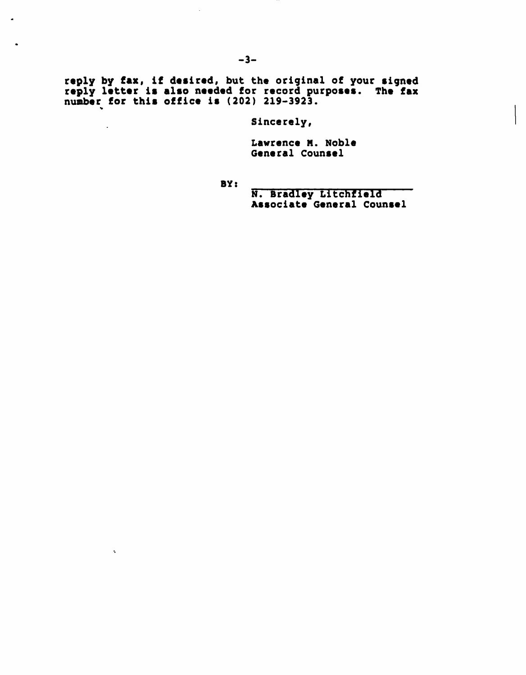reply by fax, if desired, but the original of your signed reply letter is also needed for record purposes. The fax number for this office is (202) 219-3923. \*

Sincerely,

Lawrence M. Noble General Counsel

BY:

N. Bradley Litchfield Associate General Counsel

 $\blacksquare$ 

 $\bullet$ 

 $\Box$ 

 $\mathbf{v}_\mathrm{c}$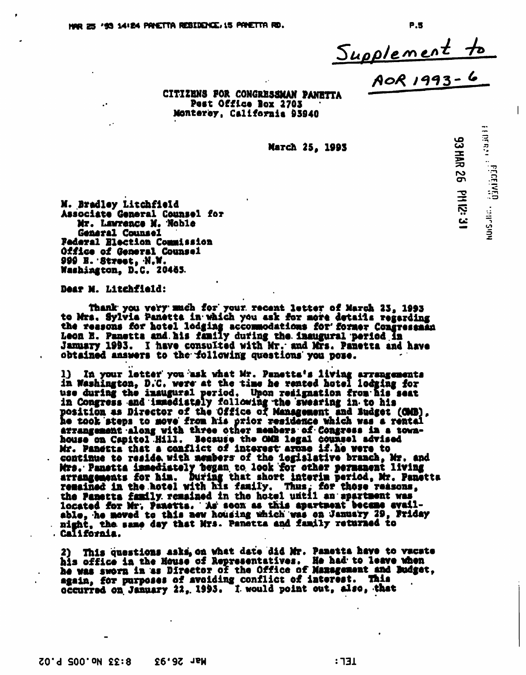Supplement to

93 HAR 26 PM I2: 3

 $\mathsf{I}$ 

Post Office Box 2703 Monterey, California 63940

**March 25, 1993**<br>12: 471 W3 O2 BUH CG<br>12: 472 March 25, 1993<br>10: 472 March 25, 1993

M. Bradley Litchfiold Associate General Counsel for Mr. Lawrence M. -Noble General Counsel Federal Election Commission Office of General Counsel 999 B. -Street, N,W. Washington, D.C. 20463

Dear N. Lltchflold:

thank- you very much for\* your, recent letter of Meroh 23, 1993 to Mrs. Sylvia Panetta in which you ask for more details regarding the ressons for hotel lodging accommodations for' former Congressman Leon B. Panetta and his family during the inaugural period In January 1993. I have consulted with Mr. and Mrs. Panetta and have obtained answers to the -following questions you pose.

1) In your letter you ask what Mr. Panetta's living arrangements in Washington, D.'C, were\* at the tine he rented hotel lodging for use during the inaugural period. Upon resignation from his seat in Congress and immediately following the swearing in to his position as Director of the Offico of Management and Budget (OMB) , he took steps to awve' from his prior residence which was a rental arrangement along with three other members of Congress in a townhouse on Capitol Hill. Because the OMB legal counsel advised Mr. Panetta that a conflict of interest arose if he were to continue to reside, with members' of the legislative branch, Mr. and Mrs. Panetta immediately tegan. to. look for other permanent living arrangements for him. During that short interim period, Mr. Panetta remained in the .hotel with his family. Thus: for these reasons. the Panetta family remained in the hotel until an apartment was located for Mr. pametta. A» soon aa this apartment became available, he moved to this new housing which was on January 29, Friday night, the same day that Mrs. Panetta and family returned to California.

This questions asks, on what date did Mr. Panetta have to vacate his office in the House of Representatives. He had- to leave when he was sworn in as Director of the Office of Management and Budget, again, for purposes of avoiding conflict of interest. This occurred on January 22, 1993. I would point out, also, that